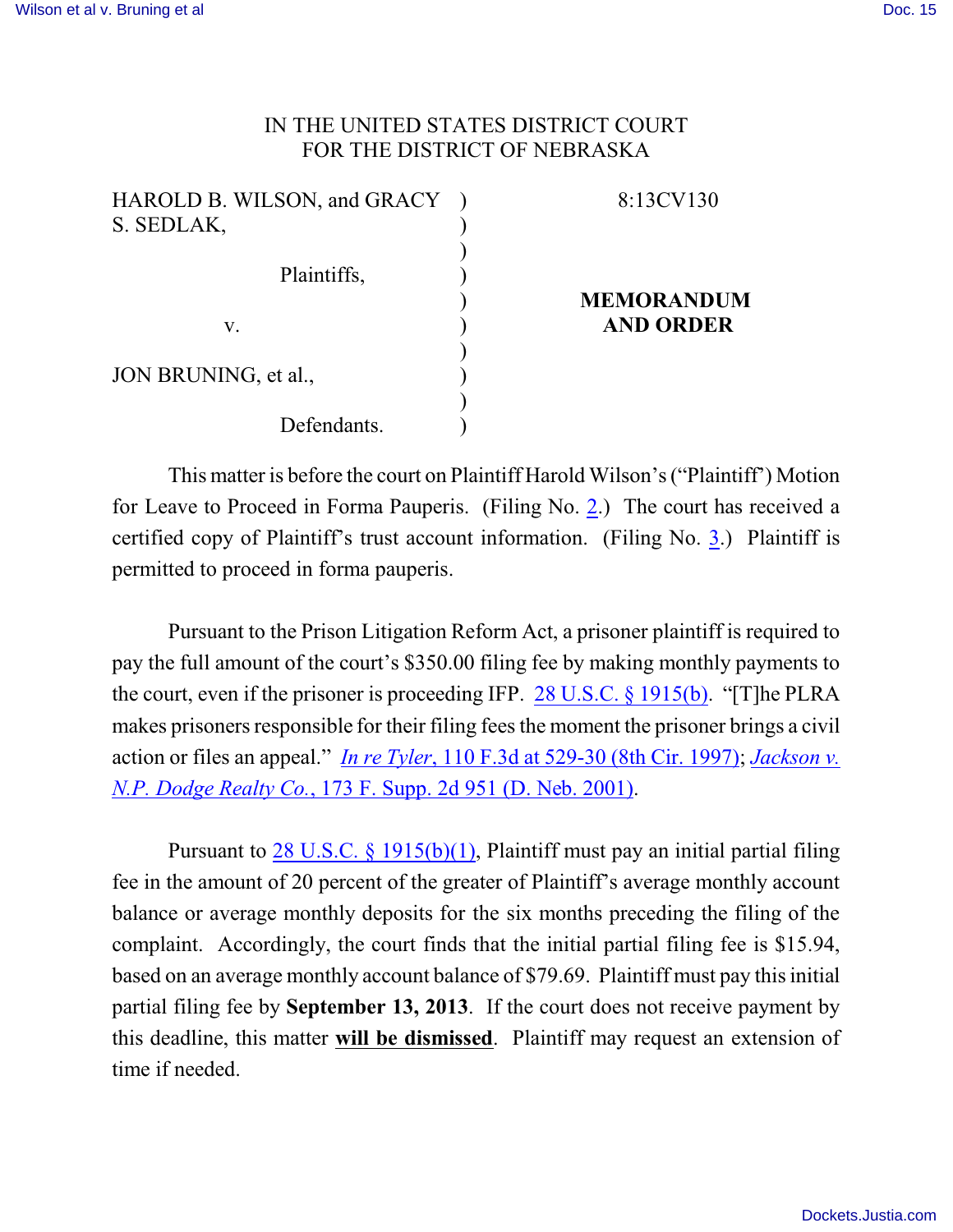## IN THE UNITED STATES DISTRICT COURT FOR THE DISTRICT OF NEBRASKA

| HAROLD B. WILSON, and GRACY ) | 8:13CV130         |
|-------------------------------|-------------------|
| S. SEDLAK,                    |                   |
|                               |                   |
| Plaintiffs,                   |                   |
|                               | <b>MEMORANDUM</b> |
| V.                            | <b>AND ORDER</b>  |
|                               |                   |
| JON BRUNING, et al.,          |                   |
|                               |                   |
| Defendants.                   |                   |

This matter is before the court on Plaintiff Harold Wilson's ("Plaintiff') Motion for Leave to Proceed in Forma Pauperis. (Filing No. [2](http://ecf.ned.uscourts.gov/doc1/11302767899).) The court has received a certified copy of Plaintiff's trust account information. (Filing No. [3](http://ecf.ned.uscourts.gov/doc1/11302767902).) Plaintiff is permitted to proceed in forma pauperis.

Pursuant to the Prison Litigation Reform Act, a prisoner plaintiff is required to pay the full amount of the court's \$350.00 filing fee by making monthly payments to the court, even if the prisoner is proceeding IFP. [28 U.S.C. § 1915\(b\)](http://www.westlaw.com/find/default.wl?rs=CLWP3.0&vr=2.0&cite=28+USCA+s+1915%28b%29). "[T]he PLRA makes prisoners responsible for their filing feesthe moment the prisoner brings a civil action or files an appeal." *In re Tyler*[, 110 F.3d at 529-30 \(8th Cir. 1997\)](http://www.westlaw.com/find/default.wl?rs=CLWP3.0&vr=2.0&cite=110+F.3d+529); *[Jackson v.](http://www.westlaw.com/find/default.wl?rs=CLWP3.0&vr=2.0&cite=173+F.Supp.2d+951) N.P. Dodge Realty Co.*[, 173 F. Supp. 2d 951 \(D. Neb. 2001\)](http://www.westlaw.com/find/default.wl?rs=CLWP3.0&vr=2.0&cite=173+F.Supp.2d+951).

Pursuant to [28 U.S.C. §](http://www.westlaw.com/find/default.wl?rs=CLWP3.0&vr=2.0&cite=28+USCA+s+1915%28b%29%281%29) 1915(b)(1), Plaintiff must pay an initial partial filing fee in the amount of 20 percent of the greater of Plaintiff's average monthly account balance or average monthly deposits for the six months preceding the filing of the complaint. Accordingly, the court finds that the initial partial filing fee is \$15.94, based on an average monthly account balance of \$79.69. Plaintiff must pay this initial partial filing fee by **September 13, 2013**. If the court does not receive payment by this deadline, this matter **will be dismissed**. Plaintiff may request an extension of time if needed.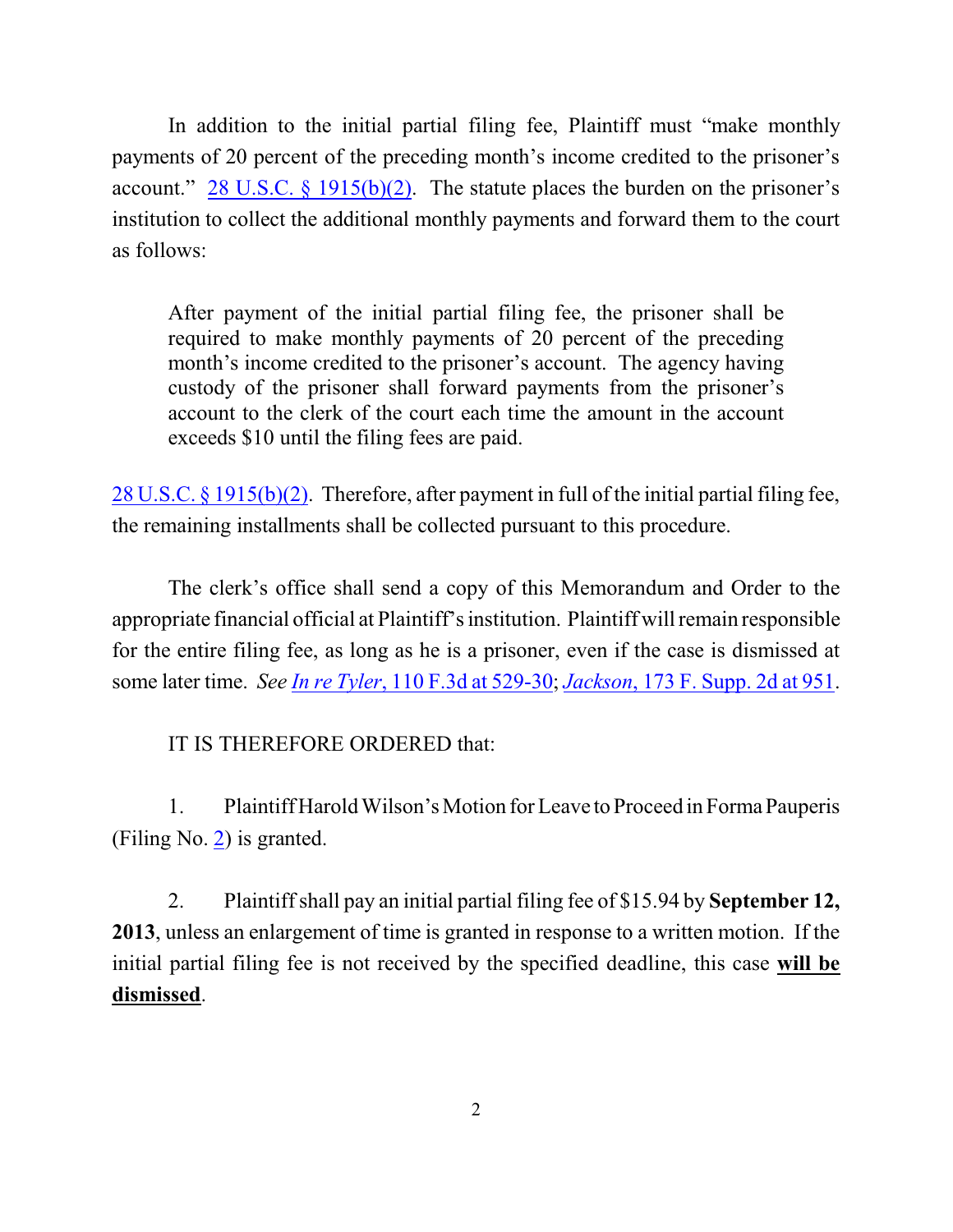In addition to the initial partial filing fee, Plaintiff must "make monthly payments of 20 percent of the preceding month's income credited to the prisoner's account." 28 U.S.C.  $\S$  1915(b)(2). The statute places the burden on the prisoner's institution to collect the additional monthly payments and forward them to the court as follows:

After payment of the initial partial filing fee, the prisoner shall be required to make monthly payments of 20 percent of the preceding month's income credited to the prisoner's account. The agency having custody of the prisoner shall forward payments from the prisoner's account to the clerk of the court each time the amount in the account exceeds \$10 until the filing fees are paid.

28 U.S.C. [§ 1915\(b\)\(2\)](http://www.westlaw.com/find/default.wl?rs=CLWP3.0&vr=2.0&cite=28+USCA+s+1915%28b%29%282%29). Therefore, after payment in full of the initial partial filing fee, the remaining installments shall be collected pursuant to this procedure.

The clerk's office shall send a copy of this Memorandum and Order to the appropriate financial official at Plaintiff's institution. Plaintiff will remain responsible for the entire filing fee, as long as he is a prisoner, even if the case is dismissed at some later time. *See In re Tyler*[, 110 F.3d at 529-30](http://www.westlaw.com/find/default.wl?rs=CLWP3.0&vr=2.0&cite=110+F.3d+529); *Jackson*[, 173 F. Supp. 2d at 951](http://www.westlaw.com/find/default.wl?rs=CLWP3.0&vr=2.0&cite=173+F.Supp.2d+951).

IT IS THEREFORE ORDERED that:

1. Plaintiff Harold Wilson's Motion for Leave to Proceed in FormaPauperis (Filing No. [2](http://ecf.ned.uscourts.gov/doc1/11302767899)) is granted.

2. Plaintiff shall pay an initial partial filing fee of \$15.94 by **September 12, 2013**, unless an enlargement of time is granted in response to a written motion. If the initial partial filing fee is not received by the specified deadline, this case **will be dismissed**.